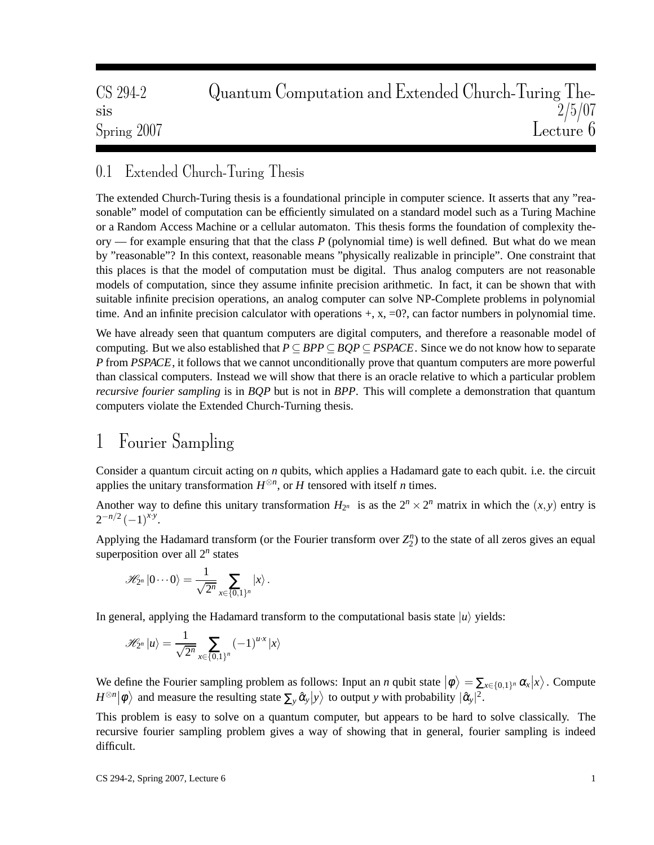| CS 294-2         | Quantum Computation and Extended Church-Turing The- |
|------------------|-----------------------------------------------------|
| S <sub>1</sub> S | $\frac{2}{5/07}$ Lecture 6                          |
| Spring 2007      |                                                     |

#### 0.1 Extended Church-Turing Thesis

The extended Church-Turing thesis is a foundational principle in computer science. It asserts that any "reasonable" model of computation can be efficiently simulated on a standard model such as a Turing Machine or a Random Access Machine or a cellular automaton. This thesis forms the foundation of complexity theory — for example ensuring that that the class *P* (polynomial time) is well defined. But what do we mean by "reasonable"? In this context, reasonable means "physically realizable in principle". One constraint that this places is that the model of computation must be digital. Thus analog computers are not reasonable models of computation, since they assume infinite precision arithmetic. In fact, it can be shown that with suitable infinite precision operations, an analog computer can solve NP-Complete problems in polynomial time. And an infinite precision calculator with operations  $+$ ,  $x$ ,  $=0$ ?, can factor numbers in polynomial time.

We have already seen that quantum computers are digital computers, and therefore a reasonable model of computing. But we also established that  $P \subseteq BPP \subseteq BQP \subseteq PSPACE$ . Since we do not know how to separate *P* from *PSPACE*, it follows that we cannot unconditionally prove that quantum computers are more powerful than classical computers. Instead we will show that there is an oracle relative to which a particular problem *recursive fourier sampling* is in *BQP* but is not in *BPP*. This will complete a demonstration that quantum computers violate the Extended Church-Turning thesis.

## 1 Fourier Sampling

Consider a quantum circuit acting on *n* qubits, which applies a Hadamard gate to each qubit. i.e. the circuit applies the unitary transformation  $H^{\otimes n}$ , or *H* tensored with itself *n* times.

Another way to define this unitary transformation  $H_{2^n}$  is as the  $2^n \times 2^n$  matrix in which the  $(x, y)$  entry is  $2^{-n/2}(-1)^{x \cdot y}$ .

Applying the Hadamard transform (or the Fourier transform over  $Z_2^n$ ) to the state of all zeros gives an equal superposition over all 2*<sup>n</sup>* states

$$
\mathscr{H}_{2^n} |0\cdots 0\rangle = \frac{1}{\sqrt{2^n}} \sum_{x\in\{0,1\}^n} |x\rangle.
$$

In general, applying the Hadamard transform to the computational basis state  $|u\rangle$  yields:

$$
\mathscr{H}_{2^n} |u\rangle = \frac{1}{\sqrt{2^n}} \sum_{x \in \{0,1\}^n} (-1)^{u \cdot x} |x\rangle
$$

We define the Fourier sampling problem as follows: Input an *n* qubit state  $|\phi\rangle = \sum_{x \in \{0,1\}^n} \alpha_x |x\rangle$ . Compute  $H^{\otimes n}|\phi\rangle$  and measure the resulting state  $\sum_{y} \hat{\alpha}_y |y\rangle$  to output *y* with probability  $|\hat{\alpha}_y|^2$ .

This problem is easy to solve on a quantum computer, but appears to be hard to solve classically. The recursive fourier sampling problem gives a way of showing that in general, fourier sampling is indeed difficult.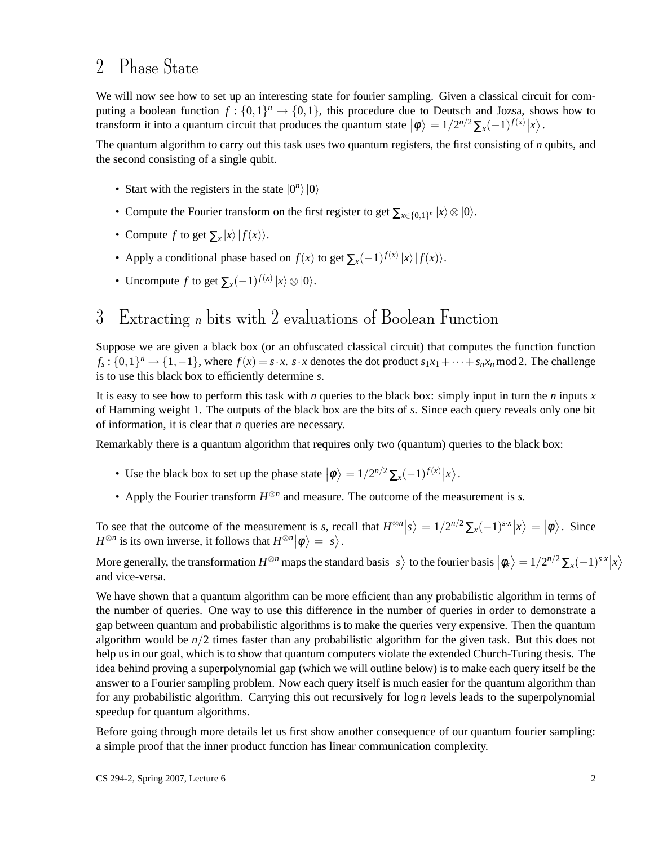#### 2 Phase State

We will now see how to set up an interesting state for fourier sampling. Given a classical circuit for computing a boolean function  $f: \{0,1\}^n \to \{0,1\}$ , this procedure due to Deutsch and Jozsa, shows how to transform it into a quantum circuit that produces the quantum state  $|\phi\rangle = 1/2^{n/2} \sum_x (-1)^{f(x)} |x\rangle$ .

The quantum algorithm to carry out this task uses two quantum registers, the first consisting of *n* qubits, and the second consisting of a single qubit.

- Start with the registers in the state  $|0^n\rangle|0\rangle$
- Compute the Fourier transform on the first register to get  $\sum_{x \in \{0,1\}^n} |x\rangle \otimes |0\rangle$ .
- Compute *f* to get  $\sum_{x} |x\rangle |f(x)\rangle$ .
- Apply a conditional phase based on  $f(x)$  to get  $\sum_{x}(-1)^{f(x)}|x\rangle |f(x)\rangle$ .
- Uncompute *f* to get  $\sum_{x} (-1)^{f(x)} |x\rangle \otimes |0\rangle$ .

# 3 Extracting *n* bits with 2 evaluations of Boolean Function

Suppose we are given a black box (or an obfuscated classical circuit) that computes the function function  $f_s: \{0,1\}^n \to \{1,-1\}$ , where  $f(x) = s \cdot x$ .  $s \cdot x$  denotes the dot product  $s_1x_1 + \cdots + s_nx_n \mod 2$ . The challenge is to use this black box to efficiently determine *s*.

It is easy to see how to perform this task with *n* queries to the black box: simply input in turn the *n* inputs *x* of Hamming weight 1. The outputs of the black box are the bits of *s*. Since each query reveals only one bit of information, it is clear that *n* queries are necessary.

Remarkably there is a quantum algorithm that requires only two (quantum) queries to the black box:

- Use the black box to set up the phase state  $|\phi\rangle = 1/2^{n/2} \sum_{x} (-1)^{f(x)} |x\rangle$ .
- Apply the Fourier transform  $H^{\otimes n}$  and measure. The outcome of the measurement is *s*.

To see that the outcome of the measurement is *s*, recall that  $H^{\otimes n}|s\rangle = 1/2^{n/2} \sum_{x} (-1)^{sx} |x\rangle = |\phi\rangle$ . Since  $H^{\otimes n}$  is its own inverse, it follows that  $H^{\otimes n}|\phi\rangle = |s\rangle$ .

More generally, the transformation  $H^{\otimes n}$  maps the standard basis  $|s\rangle$  to the fourier basis  $|\phi_s\rangle = 1/2^{n/2} \sum_x (-1)^{sx} |x\rangle$ and vice-versa.

We have shown that a quantum algorithm can be more efficient than any probabilistic algorithm in terms of the number of queries. One way to use this difference in the number of queries in order to demonstrate a gap between quantum and probabilistic algorithms is to make the queries very expensive. Then the quantum algorithm would be *n*/2 times faster than any probabilistic algorithm for the given task. But this does not help us in our goal, which is to show that quantum computers violate the extended Church-Turing thesis. The idea behind proving a superpolynomial gap (which we will outline below) is to make each query itself be the answer to a Fourier sampling problem. Now each query itself is much easier for the quantum algorithm than for any probabilistic algorithm. Carrying this out recursively for log*n* levels leads to the superpolynomial speedup for quantum algorithms.

Before going through more details let us first show another consequence of our quantum fourier sampling: a simple proof that the inner product function has linear communication complexity.